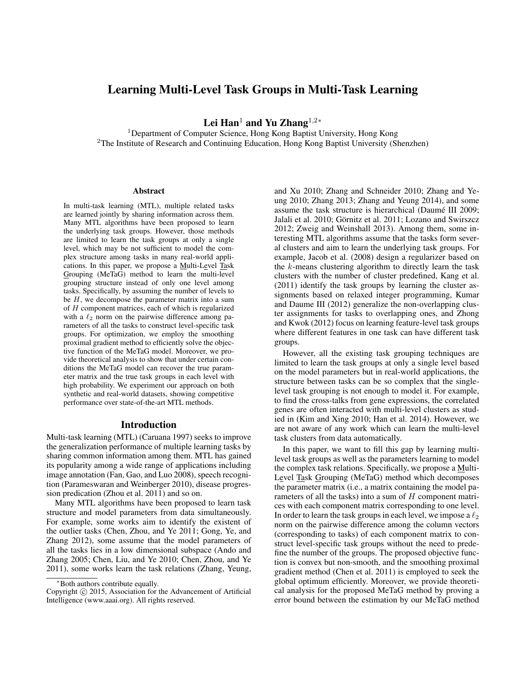# Learning Multi-Level Task Groups in Multi-Task Learning

Lei Han<sup>1</sup> and Yu Zhang<sup>1,2</sup>\*

<sup>1</sup>Department of Computer Science, Hong Kong Baptist University, Hong Kong <sup>2</sup>The Institute of Research and Continuing Education, Hong Kong Baptist University (Shenzhen)

#### **Abstract**

In multi-task learning (MTL), multiple related tasks are learned jointly by sharing information across them. Many MTL algorithms have been proposed to learn the underlying task groups. However, those methods are limited to learn the task groups at only a single level, which may be not sufficient to model the complex structure among tasks in many real-world applications. In this paper, we propose a Multi-Level Task Grouping (MeTaG) method to learn the multi-level grouping structure instead of only one level among tasks. Specifically, by assuming the number of levels to be  $H$ , we decompose the parameter matrix into a sum of H component matrices, each of which is regularized with a  $\ell_2$  norm on the pairwise difference among parameters of all the tasks to construct level-specific task groups. For optimization, we employ the smoothing proximal gradient method to efficiently solve the objective function of the MeTaG model. Moreover, we provide theoretical analysis to show that under certain conditions the MeTaG model can recover the true parameter matrix and the true task groups in each level with high probability. We experiment our approach on both synthetic and real-world datasets, showing competitive performance over state-of-the-art MTL methods.

## Introduction

Multi-task learning (MTL) (Caruana 1997) seeks to improve the generalization performance of multiple learning tasks by sharing common information among them. MTL has gained its popularity among a wide range of applications including image annotation (Fan, Gao, and Luo 2008), speech recognition (Parameswaran and Weinberger 2010), disease progression predication (Zhou et al. 2011) and so on.

Many MTL algorithms have been proposed to learn task structure and model parameters from data simultaneously. For example, some works aim to identify the existent of the outlier tasks (Chen, Zhou, and Ye 2011; Gong, Ye, and Zhang 2012), some assume that the model parameters of all the tasks lies in a low dimensional subspace (Ando and Zhang 2005; Chen, Liu, and Ye 2010; Chen, Zhou, and Ye 2011), some works learn the task relations (Zhang, Yeung,

and Xu 2010; Zhang and Schneider 2010; Zhang and Yeung 2010; Zhang 2013; Zhang and Yeung 2014), and some assume the task structure is hierarchical (Daumé III 2009; Jalali et al. 2010; Görnitz et al. 2011; Lozano and Swirszcz 2012; Zweig and Weinshall 2013). Among them, some interesting MTL algorithms assume that the tasks form several clusters and aim to learn the underlying task groups. For example, Jacob et al. (2008) design a regularizer based on the  $k$ -means clustering algorithm to directly learn the task clusters with the number of cluster predefined, Kang et al. (2011) identify the task groups by learning the cluster assignments based on relaxed integer programming, Kumar and Daume III (2012) generalize the non-overlapping cluster assignments for tasks to overlapping ones, and Zhong and Kwok (2012) focus on learning feature-level task groups where different features in one task can have different task groups.

However, all the existing task grouping techniques are limited to learn the task groups at only a single level based on the model parameters but in real-world applications, the structure between tasks can be so complex that the singlelevel task grouping is not enough to model it. For example, to find the cross-talks from gene expressions, the correlated genes are often interacted with multi-level clusters as studied in (Kim and Xing 2010; Han et al. 2014). However, we are not aware of any work which can learn the multi-level task clusters from data automatically.

In this paper, we want to fill this gap by learning multilevel task groups as well as the parameters learning to model the complex task relations. Specifically, we propose a Multi-Level Task Grouping (MeTaG) method which decomposes the parameter matrix (i.e., a matrix containing the model parameters of all the tasks) into a sum of  $H$  component matrices with each component matrix corresponding to one level. In order to learn the task groups in each level, we impose a  $\ell_2$ norm on the pairwise difference among the column vectors (corresponding to tasks) of each component matrix to construct level-specific task groups without the need to predefine the number of the groups. The proposed objective function is convex but non-smooth, and the smoothing proximal gradient method (Chen et al. 2011) is employed to seek the global optimum efficiently. Moreover, we provide theoretical analysis for the proposed MeTaG method by proving a error bound between the estimation by our MeTaG method

<sup>∗</sup>Both authors contribute equally.

Copyright © 2015, Association for the Advancement of Artificial Intelligence (www.aaai.org). All rights reserved.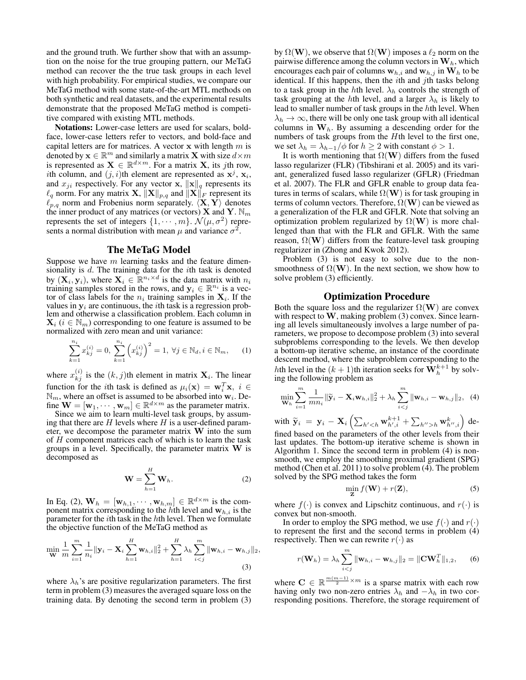and the ground truth. We further show that with an assumption on the noise for the true grouping pattern, our MeTaG method can recover the the true task groups in each level with high probability. For empirical studies, we compare our MeTaG method with some state-of-the-art MTL methods on both synthetic and real datasets, and the experimental results demonstrate that the proposed MeTaG method is competitive compared with existing MTL methods.

Notations: Lower-case letters are used for scalars, boldface, lower-case letters refer to vectors, and bold-face and capital letters are for matrices. A vector  $x$  with length  $m$  is denoted by  $\mathbf{x} \in \mathbb{R}^m$  and similarly a matrix **X** with size  $d \times m$ is represented as  $X \in \mathbb{R}^{d \times m}$ . For a matrix X, its jth row, ith column, and  $(j, i)$ th element are represented as  $x^j$ ,  $x_i$ , and  $x_{ji}$  respectively. For any vector x,  $\|\mathbf{x}\|_q$  represents its  $\ell_q$  norm. For any matrix **X**,  $\|\mathbf{X}\|_{p,q}$  and  $\|\mathbf{X}\|_F$  represent its  $\ell_{p,q}$  norm and Frobenius norm separately.  $\langle \mathbf{X}, \mathbf{Y} \rangle$  denotes the inner product of any matrices (or vectors) **X** and **Y**.  $\mathbb{N}_m$ represents the set of integers  $\{1, \cdots, m\}$ .  $\mathcal{N}(\mu, \sigma^2)$  represents a normal distribution with mean  $\mu$  and variance  $\sigma^2$ .

## The MeTaG Model

Suppose we have  $m$  learning tasks and the feature dimensionality is  $d$ . The training data for the  $i$ th task is denoted by  $(X_i, y_i)$ , where  $X_i \in \mathbb{R}^{n_i \times d}$  is the data matrix with  $n_i$ training samples stored in the rows, and  $y_i \in \mathbb{R}^{n_i}$  is a vector of class labels for the  $n_i$  training samples in  $\mathbf{X}_i$ . If the values in  $y_i$  are continuous, the *i*th task is a regression problem and otherwise a classification problem. Each column in  $\mathbf{X}_i$  ( $i \in \mathbb{N}_m$ ) corresponding to one feature is assumed to be normalized with zero mean and unit variance:

$$
\sum_{k=1}^{n_i} x_{kj}^{(i)} = 0, \sum_{k=1}^{n_i} \left( x_{kj}^{(i)} \right)^2 = 1, \ \forall j \in \mathbb{N}_d, i \in \mathbb{N}_m, \qquad (1)
$$

where  $x_{kj}^{(i)}$  is the  $(k, j)$ th element in matrix  $\mathbf{X}_i$ . The linear function for the *i*th task is defined as  $\mu_i(\mathbf{x}) = \mathbf{w}_i^T \mathbf{x}, i \in$  $\mathbb{N}_m$ , where an offset is assumed to be absorbed into  $\mathbf{w}_i$ . Define  $\mathbf{W} = [\mathbf{w}_1, \cdots, \mathbf{w}_m] \in \mathbb{R}^{d \times m}$  as the parameter matrix.

Since we aim to learn multi-level task groups, by assuming that there are  $H$  levels where  $H$  is a user-defined parameter, we decompose the parameter matrix W into the sum of H component matrices each of which is to learn the task groups in a level. Specifically, the parameter matrix  $W$  is decomposed as

$$
\mathbf{W} = \sum_{h=1}^{H} \mathbf{W}_h.
$$
 (2)

In Eq. (2),  $\mathbf{W}_h = [\mathbf{w}_{h,1}, \dots, \mathbf{w}_{h,m}] \in \mathbb{R}^{d \times m}$  is the component matrix corresponding to the hth level and  $w_{h,i}$  is the parameter for the ith task in the hth level. Then we formulate the objective function of the MeTaG method as

$$
\min_{\mathbf{W}} \frac{1}{m} \sum_{i=1}^{m} \frac{1}{n_i} ||\mathbf{y}_i - \mathbf{X}_i \sum_{h=1}^{H} \mathbf{w}_{h,i}||_2^2 + \sum_{h=1}^{H} \lambda_h \sum_{i < j}^{m} ||\mathbf{w}_{h,i} - \mathbf{w}_{h,j}||_2, \tag{3}
$$

where  $\lambda_h$ 's are positive regularization parameters. The first term in problem (3) measures the averaged square loss on the training data. By denoting the second term in problem (3) by  $\Omega(\mathbf{W})$ , we observe that  $\Omega(\mathbf{W})$  imposes a  $\ell_2$  norm on the pairwise difference among the column vectors in  $W_h$ , which encourages each pair of columns  $w_{h,i}$  and  $w_{h,j}$  in  $W_h$  to be identical. If this happens, then the  $i$ th and  $j$ th tasks belong to a task group in the hth level.  $\lambda_h$  controls the strength of task grouping at the hth level, and a larger  $\lambda_h$  is likely to lead to smaller number of task groups in the hth level. When  $\lambda_h \to \infty$ , there will be only one task group with all identical columns in  $W<sub>h</sub>$ . By assuming a descending order for the numbers of task groups from the Hth level to the first one, we set  $\lambda_h = \lambda_{h-1}/\phi$  for  $h \geq 2$  with constant  $\phi > 1$ .

It is worth mentioning that  $\Omega(W)$  differs from the fused lasso regularizer (FLR) (Tibshirani et al. 2005) and its variant, generalized fused lasso regularizer (GFLR) (Friedman et al. 2007). The FLR and GFLR enable to group data features in terms of scalars, while  $\Omega(W)$  is for task grouping in terms of column vectors. Therefore,  $\Omega(W)$  can be viewed as a generalization of the FLR and GFLR. Note that solving an optimization problem regularized by  $\Omega(\mathbf{W})$  is more challenged than that with the FLR and GFLR. With the same reason,  $\Omega(\mathbf{W})$  differs from the feature-level task grouping regularizer in (Zhong and Kwok 2012).

Problem (3) is not easy to solve due to the nonsmoothness of  $\Omega(\mathbf{W})$ . In the next section, we show how to solve problem (3) efficiently.

### Optimization Procedure

Both the square loss and the regularizer  $\Omega(\mathbf{W})$  are convex with respect to  $W$ , making problem (3) convex. Since learning all levels simultaneously involves a large number of parameters, we propose to decompose problem (3) into several subproblems corresponding to the levels. We then develop a bottom-up iterative scheme, an instance of the coordinate descent method, where the subproblem corresponding to the hth level in the  $(k + 1)$ th iteration seeks for  $\mathbf{W}_{h}^{k+1}$  by solving the following problem as

$$
\min_{\mathbf{W}_h} \sum_{i=1}^m \frac{1}{mn_i} \|\widetilde{\mathbf{y}}_i - \mathbf{X}_i \mathbf{w}_{h,i}\|_2^2 + \lambda_h \sum_{i < j}^m \|\mathbf{w}_{h,i} - \mathbf{w}_{h,j}\|_2, \tag{4}
$$

with  $\widetilde{\mathbf{y}}_i = \mathbf{y}_i - \mathbf{X}_i \left( \sum_{h' < h} \mathbf{w}_{h',i}^{k+1} + \sum_{h''>h} \mathbf{w}_{h'',i}^k \right)$  defined based on the parameters of the other levels from their

last updates. The bottom-up iterative scheme is shown in Algorithm 1. Since the second term in problem (4) is nonsmooth, we employ the smoothing proximal gradient (SPG) method (Chen et al. 2011) to solve problem (4). The problem solved by the SPG method takes the form

$$
\min_{\mathbf{Z}} f(\mathbf{W}) + r(\mathbf{Z}),\tag{5}
$$

where  $f(\cdot)$  is convex and Lipschitz continuous, and  $r(\cdot)$  is convex but non-smooth.

In order to employ the SPG method, we use  $f(\cdot)$  and  $r(\cdot)$ to represent the first and the second terms in problem (4) respectively. Then we can rewrite  $r(\cdot)$  as

$$
r(\mathbf{W}_h) = \lambda_h \sum_{i < j}^m \|\mathbf{w}_{h,i} - \mathbf{w}_{h,j}\|_2 = \|\mathbf{C}\mathbf{W}_h^T\|_{1,2},\qquad(6)
$$

where  $C \in \mathbb{R}^{\frac{m(m-1)}{2} \times m}$  is a sparse matrix with each row having only two non-zero entries  $\lambda_h$  and  $-\lambda_h$  in two corresponding positions. Therefore, the storage requirement of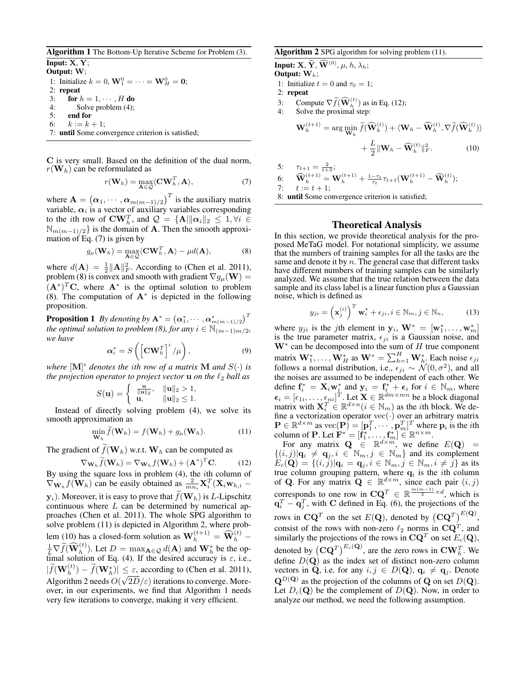Algorithm 1 The Bottom-Up Iterative Scheme for Problem (3).

Input: X, Y; Output: W; 1: Initialize  $k = 0$ ,  $\mathbf{W}_1^0 = \cdots = \mathbf{W}_H^0 = 0$ ; 2: repeat 3: **for**  $h = 1, \dots, H$  **do**<br>4: **Solve problem** (4); Solve problem (4); 5: end for 6:  $k := k + 1$ : 7: until Some convergence criterion is satisfied;

C is very small. Based on the definition of the dual norm,  $r(\mathbf{W}_h)$  can be reformulated as

$$
r(\mathbf{W}_h) = \max_{\mathbf{A} \in \mathcal{Q}} \langle \mathbf{C} \mathbf{W}_h^T, \mathbf{A} \rangle,
$$
 (7)

where  $\mathbf{A} = (\alpha_1, \dots, \alpha_{m(m-1)/2})^T$  is the auxiliary matrix variable,  $\alpha_i$  is a vector of auxiliary variables corresponding to the *i*th row of  $\text{CW}_h^T$ , and  $\mathcal{Q} = \{\textbf{A} | \|\boldsymbol{\alpha}_i\|_2 \leq 1, \forall i \in$  $\mathbb{N}_{m(m-1)/2}$  is the domain of **A**. Then the smooth approximation of Eq. (7) is given by

$$
g_{\mu}(\mathbf{W}_h) = \max_{\mathbf{A} \in \mathcal{Q}} \langle \mathbf{C} \mathbf{W}_h^T, \mathbf{A} \rangle - \mu d(\mathbf{A}), \tag{8}
$$

where  $d(\mathbf{A}) = \frac{1}{2} ||\mathbf{A}||_F^2$ . According to (Chen et al. 2011), problem (8) is convex and smooth with gradient  $\nabla g_\mu(\mathbf{W}) =$  $(A^*)^T C$ , where  $A^*$  is the optimal solution to problem  $(8)$ . The computation of  $A^*$  is depicted in the following proposition.

**Proposition 1** *By denoting by*  $A^* = (\alpha_1^*, \cdots, \alpha_{m(m-1)/2}^*)^T$ *the optimal solution to problem (8), for any*  $i \in \mathbb{N}_{(m-1)m/2}$ *, we have*

$$
\boldsymbol{\alpha}_{i}^{*} = S\left(\left[\mathbf{C}\mathbf{W}_{h}^{T}\right]^{i}/\mu\right),\tag{9}
$$

where  $[M]^i$  denotes the ith row of a matrix **M** and  $S(\cdot)$  is *the projection operator to project vector* **u** *on the*  $\ell_2$  *ball as* 

$$
S(\mathbf{u}) = \begin{cases} \frac{\mathbf{u}}{\|\mathbf{u}\|_2}, & \|\mathbf{u}\|_2 > 1, \\ \mathbf{u}, & \|\mathbf{u}\|_2 \le 1. \end{cases}
$$

Instead of directly solving problem (4), we solve its smooth approximation as

$$
\min_{\mathbf{W}_h} \widetilde{f}(\mathbf{W}_h) = f(\mathbf{W}_h) + g_\mu(\mathbf{W}_h).
$$
 (11)

The gradient of  $\widetilde{f}(\mathbf{W}_h)$  w.r.t.  $\mathbf{W}_h$  can be computed as

$$
\nabla_{\mathbf{W}_h} \widetilde{f}(\mathbf{W}_h) = \nabla_{\mathbf{W}_h} f(\mathbf{W}_h) + (\mathbf{A}^*)^T \mathbf{C}.
$$
 (12)

By using the square loss in problem (4), the ith column of  $\nabla_{\mathbf{W}_h} f(\mathbf{W}_h)$  can be easily obtained as  $\frac{2}{mn_i} \mathbf{X}_i^T (\mathbf{X}_i \mathbf{w}_{h,i}$  $y_i$ ). Moreover, it is easy to prove that  $\widetilde{f}(\mathbf{W}_h)$  is L-Lipschitz continuous where  $L$  can be determined by numerical approaches (Chen et al. 2011). The whole SPG algorithm to solve problem (11) is depicted in Algorithm 2, where problem (10) has a closed-form solution as  $\mathbf{W}_h^{(t+1)} = \widehat{\mathbf{W}}_h^{(t)}$  –  $\frac{1}{L}\nabla \widetilde{f}(\widehat{\mathbf{W}}_h^{(t)})$ . Let  $D = \max_{\mathbf{A} \in \mathcal{Q}} d(\mathbf{A})$  and  $\mathbf{W}_h^*$  be the optimal solution of Eq. (4). If the desired accuracy is  $\varepsilon$ , i.e.,  $|\widetilde{f}(\mathbf{W}_h^{(t)}) - \widetilde{f}(\mathbf{W}_h^*)| \leq \varepsilon$ , according to (Chen et al. 2011), Algorithm 2 needs  $O(\sqrt{2D/\varepsilon})$  iterations to converge. Moreover, in our experiments, we find that Algorithm 1 needs very few iterations to converge, making it very efficient.

#### Algorithm 2 SPG algorithm for solving problem (11).

**Input: X**,  $\widetilde{\mathbf{Y}}, \widehat{\mathbf{W}}^{(0)}, \mu, h, \lambda_h;$ 

Output:  $W_h$ ;

1: Initialize  $t = 0$  and  $\tau_0 = 1$ ;

2: repeat

3: Compute  $\nabla \widetilde{f}(\widehat{\mathbf{W}}_h^{(t)})$  as in Eq. (12);

4: Solve the proximal step:

$$
\mathbf{W}_{h}^{(t+1)} = \arg\min_{\mathbf{W}_{h}} \widetilde{f}(\widehat{\mathbf{W}}_{h}^{(t)}) + \langle \mathbf{W}_{h} - \widehat{\mathbf{W}}_{h}^{(t)}, \nabla \widetilde{f}(\widehat{\mathbf{W}}_{h}^{(t)}) \rangle + \frac{L}{2} \|\mathbf{W}_{h} - \widehat{\mathbf{W}}_{h}^{(t)}\|_{F}^{2}.
$$
 (10)

5: 
$$
\tau_{t+1} = \frac{2}{t+3}
$$
;  
\n6:  $\widehat{\mathbf{W}}_h^{(t+1)} = \mathbf{W}_h^{(t+1)} + \frac{1-\tau_t}{\tau_t} \tau_{t+1} (\mathbf{W}_h^{(t+1)} - \widehat{\mathbf{W}}_h^{(t)})$ ;  
\n7:  $t := t + 1$ ;  
\n8: **until** Some convergence criterion is satisfied;

## Theoretical Analysis

In this section, we provide theoretical analysis for the proposed MeTaG model. For notational simplicity, we assume that the numbers of training samples for all the tasks are the same and denote it by  $n$ . The general case that different tasks have different numbers of training samples can be similarly analyzed. We assume that the true relation between the data sample and its class label is a linear function plus a Gaussian noise, which is defined as

$$
y_{ji} = \left(\mathbf{x}_j^{(i)}\right)^T \mathbf{w}_i^* + \epsilon_{ji}, i \in \mathbb{N}_m, j \in \mathbb{N}_n,
$$
 (13)

where  $y_{ji}$  is the jth element in  $y_i$ ,  $\mathbf{W}^* = [\mathbf{w}_1^*, \dots, \mathbf{w}_m^*]$ is the true parameter matrix,  $\epsilon_{ji}$  is a Gaussian noise, and W<sup>∗</sup> can be decomposed into the sum of H true component matrix  $\mathbf{W}_1^*, \ldots, \mathbf{W}_H^*$  as  $\mathbf{W}^* = \sum_{h=1}^H \mathbf{W}_h^*$ . Each noise  $\epsilon_{ji}$ follows a normal distribution, i.e.,  $\epsilon_{ji} \sim \mathcal{N}(0, \sigma^2)$ , and all the noises are assumed to be independent of each other. We define  $\mathbf{f}_i^* = \mathbf{X}_i \mathbf{w}_i^*$  and  $\mathbf{y}_i = \mathbf{f}_i^* + \boldsymbol{\epsilon}_i$  for  $i \in \mathbb{N}_m$ , where  $\epsilon_i = [\epsilon_{1i}, \dots, \epsilon_{ni}]^T$ . Let  $\mathbf{X} \in \mathbb{R}^{dm \times mn}$  be a block diagonal matrix with  $\mathbf{X}_i^T \in \mathbb{R}^{d \times n}$  ( $i \in \mathbb{N}_m$ ) as the *i*th block. We define a vectorization operator  $vec(\cdot)$  over an arbitrary matrix  $\mathbf{P} \in \mathbb{R}^{d \times m}$  as  $\text{vec}(\mathbf{P}) = [\mathbf{p}_1^T, \cdots, \mathbf{p}_m^T]^T$  where  $\mathbf{p}_i$  is the *i*th column of **P**. Let  $\mathbf{F}^* = [\mathbf{f}_1^*, \dots, \mathbf{f}_m^*] \in \mathbb{R}^{n \times m}$ .

For any matrix  $\mathbf{Q} \in \mathbb{R}^{d \times m}$ , we define  $E(\mathbf{Q}) =$  $\{(i, j)|\mathbf{q}_i \neq \mathbf{q}_j, i \in \mathbb{N}_m, j \in \mathbb{N}_m\}$  and its complement  $E_c(\mathbf{Q}) = \{(i, j) | \mathbf{q}_i = \mathbf{q}_j, i \in \mathbb{N}_m, j \in \mathbb{N}_m, i \neq j\}$  as its true column grouping pattern, where  $q_i$  is the *i*th column of **Q**. For any matrix  $\mathbf{Q} \in \mathbb{R}^{d \times m}$ , since each pair  $(i, j)$ corresponds to one row in  $\mathbf{CQ}^T \in \mathbb{R}^{\frac{m(m-1)}{2} \times d}$ , which is  $\mathbf{q}_i^T - \mathbf{q}_j^T$ , with C defined in Eq. (6), the projections of the rows in  $\mathbf{CQ}^T$  on the set  $E(\mathbf{Q})$ , denoted by  $\left(\mathbf{CQ}^T\right)^{E(\mathbf{Q})}$ , consist of the rows with non-zero  $\ell_2$  norms in  $\mathbf{CQ}^T$ , and similarly the projections of the rows in  $\mathbf{CQ}^T$  on set  $E_c(\mathbf{Q})$ , denoted by  $\left(\mathbf{C}\mathbf{Q}^T\right)^{E_c(\mathbf{Q})}$ , are the zero rows in  $\mathbf{C}\mathbf{W}^T_h$ . We define  $D(\mathbf{Q})$  as the index set of distinct non-zero column vectors in Q, i.e. for any  $i, j \in D(Q)$ ,  $q_i \neq q_j$ . Denote  $\mathbf{Q}^{D(\mathbf{Q})}$  as the projection of the columns of **Q** on set  $D(\mathbf{Q})$ . Let  $D_c(Q)$  be the complement of  $D(Q)$ . Now, in order to analyze our method, we need the following assumption.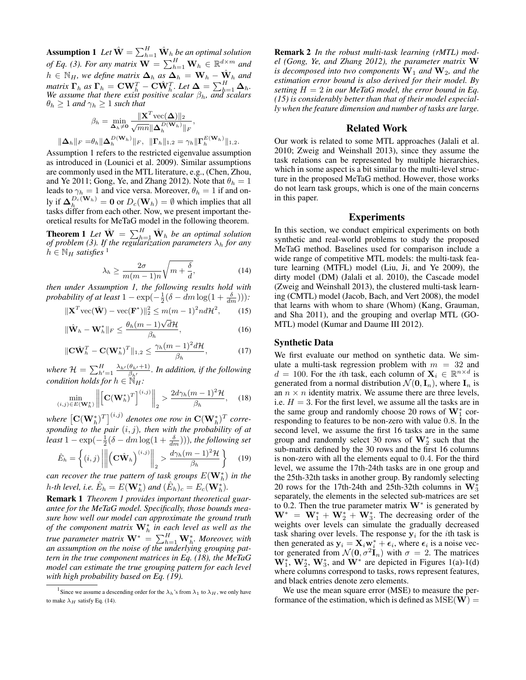**Assumption 1** Let  $\hat{\mathbf{W}} = \sum_{h=1}^{H} \hat{\mathbf{W}}_h$  be an optimal solution *of Eq. (3). For any matrix*  $\mathbf{W} = \sum_{h=1}^{H} \mathbf{W}_h \in \mathbb{R}^{d \times m}$  and  $h \in \mathbb{N}_H$ , we define matrix  $\mathbf{\Delta}_h$  as  $\mathbf{\Delta}_h = \mathbf{W}_h - \hat{\mathbf{W}}_h$  and *matrix*  $\mathbf{\Gamma}_h$  *as*  $\mathbf{\Gamma}_h = \mathbf{C}\mathbf{W}_h^T - \mathbf{C}\hat{\mathbf{W}}_h^T$ . Let  $\mathbf{\Delta} = \sum_{h=1}^H \mathbf{\Delta}_h$ . *We assume that there exist positive scalar* βh*, and scalars*  $\theta_h \geq 1$  *and*  $\gamma_h \geq 1$  *such that* 

$$
\beta_h = \min_{\mathbf{\Delta}_h \neq \mathbf{0}} \frac{\|\mathbf{X}^T \text{vec}(\mathbf{\Delta})\|_2}{\sqrt{mn} \|\mathbf{\Delta}_h^{D(\mathbf{W}_h)}\|_F},
$$

$$
\|\mathbf{\Delta}_h\|_F = \theta_h \|\mathbf{\Delta}_h^{D(\mathbf{W}_h)}\|_F, \ \|\mathbf{\Gamma}_h\|_{1,2} = \gamma_h \|\mathbf{\Gamma}_h^{E(\mathbf{W}_h)}\|_{1,2}.
$$

Assumption 1 refers to the restricted eigenvalue assumption as introduced in (Lounici et al. 2009). Similar assumptions are commonly used in the MTL literature, e.g., (Chen, Zhou, and Ye 2011; Gong, Ye, and Zhang 2012). Note that  $\theta_h = 1$ leads to  $\gamma_h = 1$  and vice versa. Moreover,  $\theta_h = 1$  if and only if  $\Delta_h^{D_c(\mathbf{W}_h)} = \mathbf{0}$  or  $D_c(\mathbf{W}_h) = \emptyset$  which implies that all tasks differ from each other. Now, we present important theoretical results for MeTaG model in the following theorem.

**Theorem 1** Let  $\hat{\mathbf{W}} = \sum_{h=1}^{H} \hat{\mathbf{W}}_h$  be an optimal solution *of problem (3). If the regularization parameters* λ<sup>h</sup> *for any*  $h \in \mathbb{N}_H$  *satisfies* <sup>1</sup>

$$
\lambda_h \ge \frac{2\sigma}{m(m-1)n} \sqrt{m + \frac{\delta}{d}},\tag{14}
$$

*then under Assumption 1, the following results hold with probability of at least*  $1 - \exp(-\frac{1}{2}(\delta - dm \log(1 + \frac{\delta}{dm})))$ :

$$
\|\mathbf{X}^T \text{vec}(\hat{\mathbf{W}}) - \text{vec}(\mathbf{F}^*)\|_2^2 \le m(m-1)^2 n d \mathcal{H}^2,\qquad(15)
$$
  

$$
\|\mathbf{X}^* - \mathbf{W}^*\|_2 \le \theta_h (m-1) \sqrt{d} \mathcal{H}
$$

$$
\|\hat{\mathbf{W}}_h - \mathbf{W}_h^*\|_F \le \frac{\theta_h(m-1)\sqrt{d\mathcal{H}}}{\beta_h},\tag{16}
$$

$$
\|\mathbf{C}\hat{\mathbf{W}}_h^T - \mathbf{C}(\mathbf{W}_h^*)^T\|_{1,2} \le \frac{\gamma_h(m-1)^2 d\mathcal{H}}{\beta_h},
$$
 (17)

*where*  $\mathcal{H} = \sum_{h'=1}^{H} \frac{\lambda_{h'}(\theta_{h'}+1)}{\beta_{h'}}$  $\frac{\theta_{h'}+1}{\beta_{h'}}$ . In addition, if the following *condition holds for*  $h \in \mathbb{N}_H$ :

$$
\min_{(i,j)\in E(\mathbf{W}_h^*)}\left\| \left[\mathbf{C}(\mathbf{W}_h^*)^T\right]^{(i,j)}\right\|_2 > \frac{2d\gamma_h(m-1)^2\mathcal{H}}{\beta_h},\quad(18)
$$

where  $\left[\mathbf{C}(\mathbf{W}_h^*)^T\right]^{(i,j)}$  denotes one row in  $\mathbf{C}(\mathbf{W}_h^*)^T$  corre*sponding to the pair* (i, j)*, then with the probability of at* least  $1 - \exp(-\frac{1}{2}(\delta - dm \log(1 + \frac{\delta}{dm}))),$  the following set

$$
\hat{E}_h = \left\{ (i,j) \left\| \left( \mathbf{C} \hat{\mathbf{W}}_h \right)^{(i,j)} \right\|_2 > \frac{d\gamma_h (m-1)^2 \mathcal{H}}{\beta_h} \right\} \tag{19}
$$

*can recover the true pattern of task groups*  $E(\mathbf{W}_h^*)$  *in the* h-th level, i.e.  $\hat{E}_h = E(\mathbf{W}_h^*)$  and  $(\hat{E}_h)_c = E_c(\mathbf{W}_h^*).$ 

Remark 1 *Theorem 1 provides important theoretical guarantee for the MeTaG model. Specifically, those bounds measure how well our model can approximate the ground truth of the component matrix* W<sup>∗</sup> h *in each level as well as the true parameter matrix*  $\mathbf{W}^* = \sum_{h=1}^H \mathbf{W}_h^*$ *. Moreover, with an assumption on the noise of the underlying grouping pattern in the true component matrices in Eq. (18), the MeTaG model can estimate the true grouping pattern for each level with high probability based on Eq. (19).*

Remark 2 *In the robust multi-task learning (rMTL) model (Gong, Ye, and Zhang 2012), the parameter matrix* W *is decomposed into two components*  $W_1$  *and*  $W_2$ *, and the estimation error bound is also derived for their model. By setting* H = 2 *in our MeTaG model, the error bound in Eq. (15) is considerably better than that of their model especially when the feature dimension and number of tasks are large.*

## Related Work

Our work is related to some MTL approaches (Jalali et al. 2010; Zweig and Weinshall 2013), since they assume the task relations can be represented by multiple hierarchies, which in some aspect is a bit similar to the multi-level structure in the proposed MeTaG method. However, those works do not learn task groups, which is one of the main concerns in this paper.

#### Experiments

In this section, we conduct empirical experiments on both synthetic and real-world problems to study the proposed MeTaG method. Baselines used for comparison include a wide range of competitive MTL models: the multi-task feature learning (MTFL) model (Liu, Ji, and Ye 2009), the dirty model (DM) (Jalali et al. 2010), the Cascade model (Zweig and Weinshall 2013), the clustered multi-task learning (CMTL) model (Jacob, Bach, and Vert 2008), the model that learns with whom to share (Whom) (Kang, Grauman, and Sha 2011), and the grouping and overlap MTL (GO-MTL) model (Kumar and Daume III 2012).

## Synthetic Data

We first evaluate our method on synthetic data. We simulate a multi-task regression problem with  $m = 32$  and  $d = 100$ . For the *i*th task, each column of  $X_i \in \mathbb{R}^{n \times d}$  is generated from a normal distribution  $\mathcal{N}(\mathbf{0}, \mathbf{I}_n)$ , where  $\mathbf{I}_n$  is an  $n \times n$  identity matrix. We assume there are three levels, i.e.  $H = 3$ . For the first level, we assume all the tasks are in the same group and randomly choose 20 rows of  $W_1^*$  corresponding to features to be non-zero with value 0.8. In the second level, we assume the first 16 tasks are in the same group and randomly select 30 rows of  $W_2^*$  such that the sub-matrix defined by the 30 rows and the first 16 columns is non-zero with all the elements equal to 0.4. For the third level, we assume the 17th-24th tasks are in one group and the 25th-32th tasks in another group. By randomly selecting 20 rows for the 17th-24th and 25th-32th columns in  $\mathbf{W}_{3}^{*}$ separately, the elements in the selected sub-matrices are set to 0.2. Then the true parameter matrix  $W^*$  is generated by  $W^* = W_1^* + W_2^* + W_3^*$ . The decreasing order of the weights over levels can simulate the gradually decreased task sharing over levels. The response  $y_i$  for the *i*th task is then generated as  $y_i = X_i w_i^* + \epsilon_i$ , where  $\epsilon_i$  is a noise vector generated from  $\mathcal{N}(\mathbf{0}, \sigma^2 \dot{\mathbf{I}}_n)$  with  $\sigma = 2$ . The matrices  $W_1^*$ ,  $W_2^*$ ,  $W_3^*$ , and  $W^*$  are depicted in Figures 1(a)-1(d) where columns correspond to tasks, rows represent features, and black entries denote zero elements.

We use the mean square error (MSE) to measure the performance of the estimation, which is defined as  $MSE(\mathbf{W}) =$ 

<sup>&</sup>lt;sup>1</sup> Since we assume a descending order for the  $\lambda_h$ 's from  $\lambda_1$  to  $\lambda_H$ , we only have to make  $\lambda_H$  satisfy Eq. (14).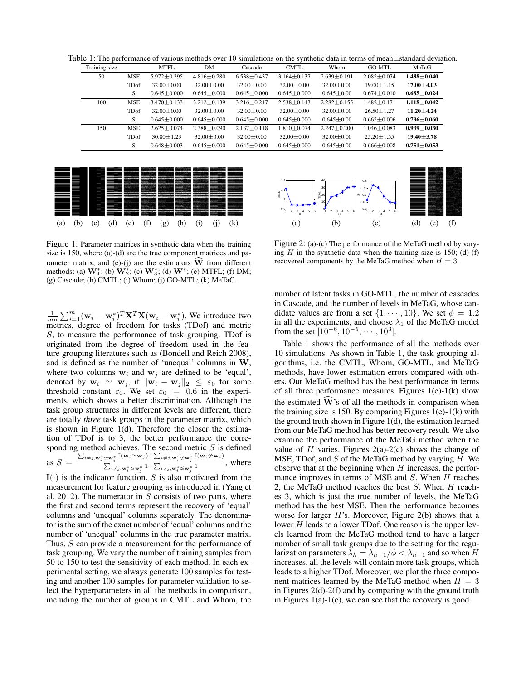Table 1: The performance of various methods over 10 simulations on the synthetic data in terms of mean±standard deviation.

| Training size |            | <b>MTFL</b>       | DM                | Cascade           | <b>CMTL</b>       | Whom              | GO-MTL            | MeTaG             |
|---------------|------------|-------------------|-------------------|-------------------|-------------------|-------------------|-------------------|-------------------|
| 50            | <b>MSE</b> | $5.972 \pm 0.295$ | $4.816 \pm 0.280$ | $6.538 \pm 0.437$ | $3.164 \pm 0.137$ | $2.639 \pm 0.191$ | $2.082 + 0.074$   | $1.488 + 0.040$   |
|               | TDof       | $32.00 \pm 0.00$  | $32.00 \pm 0.00$  | $32.00 \pm 0.00$  | $32.00 \pm 0.00$  | $32.00 \pm 0.00$  | $19.00 \pm 1.15$  | $17.00 \pm 4.03$  |
|               | S          | $0.645 \pm 0.000$ | $0.645 \pm 0.000$ | $0.645 \pm 0.000$ | $0.645 \pm 0.000$ | $0.645 \pm 0.00$  | $0.674 \pm 0.010$ | $0.685 + 0.024$   |
| 100           | <b>MSE</b> | $3.470 \pm 0.133$ | $3.212 \pm 0.139$ | $3.216 \pm 0.217$ | $2.538 \pm 0.143$ | $2.282 \pm 0.155$ | $1.482 \pm 0.171$ | $1.118 + 0.042$   |
|               | TDof       | $32.00 \pm 0.00$  | $32.00 \pm 0.00$  | $32.00 \pm 0.00$  | $32.00 \pm 0.00$  | $32.00 \pm 0.00$  | $26.50 \pm 1.27$  | $11.20 \pm 4.24$  |
|               | S          | $0.645 \pm 0.000$ | $0.645 \pm 0.000$ | $0.645 \pm 0.000$ | $0.645 \pm 0.000$ | $0.645 \pm 0.00$  | $0.662 \pm 0.006$ | $0.796 \pm 0.060$ |
| 150           | <b>MSE</b> | $2.625 \pm 0.074$ | $2.388 \pm 0.090$ | $2.137 + 0.118$   | $1.810 \pm 0.074$ | $2.247 \pm 0.200$ | $1.046 + 0.083$   | $0.939 + 0.030$   |
|               | TDof       | $30.80 + 1.23$    | $32.00 \pm 0.00$  | $32.00 \pm 0.00$  | $32.00 + 0.00$    | $32.00 \pm 0.00$  | $25.20 \pm 1.55$  | $19.40 + 3.78$    |
|               | S          | $0.648 \pm 0.003$ | $0.645 \pm 0.000$ | $0.645 + 0.000$   | $0.645 + 0.000$   | $0.645 \pm 0.00$  | $0.666 + 0.008$   | $0.751 \pm 0.053$ |



Figure 1: Parameter matrices in synthetic data when the training size is 150, where (a)-(d) are the true component matrices and parameter matrix, and (e)-(j) are the estimators  $\hat{W}$  from different methods: (a)  $W_1^*$ ; (b)  $W_2^*$ ; (c)  $W_3^*$ ; (d)  $W^*$ ; (e) MTFL; (f) DM; (g) Cascade; (h) CMTL; (i) Whom; (j) GO-MTL; (k) MeTaG.

 $\frac{1}{mn} \sum_{i=1}^{m} (\mathbf{w}_i - \mathbf{w}_i^*)^T \mathbf{X}^T \mathbf{X} (\mathbf{w}_i - \mathbf{w}_i^*)$ . We introduce two metrics, degree of freedom for tasks (TDof) and metric S, to measure the performance of task grouping. TDof is originated from the degree of freedom used in the feature grouping literatures such as (Bondell and Reich 2008), and is defined as the number of 'unequal' columns in W, where two columns  $w_i$  and  $w_j$  are defined to be 'equal', denoted by  $\mathbf{w}_i \simeq \mathbf{w}_j$ , if  $\|\mathbf{w}_i - \mathbf{w}_j\|_2 \leq \varepsilon_0$  for some threshold constant  $\varepsilon_0$ . We set  $\varepsilon_0 = 0.6$  in the experiments, which shows a better discrimination. Although the task group structures in different levels are different, there are totally *three* task groups in the parameter matrix, which is shown in Figure 1(d). Therefore the closer the estimation of TDof is to 3, the better performance the corresponding method achieves. The second metric  $S$  is defined as  $S = \frac{\sum_{i \neq j, \mathbf{w}_i^* \simeq \mathbf{w}_j^*} \mathbb{I}(\mathbf{w}_i \simeq \mathbf{w}_j) + \sum_{i \neq j, \mathbf{w}_i^* \neq \mathbf{w}_j^*} \mathbb{I}(\mathbf{w}_i \simeq \mathbf{w}_i)}{\sum_{i=1}^N \mathbb{I}(\mathbf{w}_i \simeq \mathbf{w}_i) + \sum_{i=1}^N \mathbb{I}(\mathbf{w}_i \simeq \mathbf{w}_i)}}$  $\frac{\sum_{i \neq j, w_i^* \geq w_j^*} 1 + \sum_{i \neq j, w_i^* \geq w_j^*} 1}{\sum_{i \neq j, w_i^* \geq w_j^*} 1}$ , where

 $\mathbb{I}(\cdot)$  is the indicator function. S is also motivated from the measurement for feature grouping as introduced in (Yang et al. 2012). The numerator in  $S$  consists of two parts, where the first and second terms represent the recovery of 'equal' columns and 'unequal' columns separately. The denominator is the sum of the exact number of 'equal' columns and the number of 'unequal' columns in the true parameter matrix. Thus, S can provide a measurement for the performance of task grouping. We vary the number of training samples from 50 to 150 to test the sensitivity of each method. In each experimental setting, we always generate 100 samples for testing and another 100 samples for parameter validation to select the hyperparameters in all the methods in comparison, including the number of groups in CMTL and Whom, the



Figure 2: (a)-(c) The performance of the MeTaG method by varying  $H$  in the synthetic data when the training size is 150; (d)-(f) recovered components by the MeTaG method when  $H = 3$ .

number of latent tasks in GO-MTL, the number of cascades in Cascade, and the number of levels in MeTaG, whose candidate values are from a set  $\{1, \dots, 10\}$ . We set  $\phi = 1.2$ in all the experiments, and choose  $\lambda_1$  of the MeTaG model from the set  $[10^{-6}, 10^{-5}, \cdots, 10^3]$ .

Table 1 shows the performance of all the methods over 10 simulations. As shown in Table 1, the task grouping algorithms, i.e. the CMTL, Whom, GO-MTL, and MeTaG methods, have lower estimation errors compared with others. Our MeTaG method has the best performance in terms of all three performance measures. Figures  $1(e)-1(k)$  show the estimated  $\hat{W}$ 's of all the methods in comparison when the training size is 150. By comparing Figures  $1(e)-1(k)$  with the ground truth shown in Figure 1(d), the estimation learned from our MeTaG method has better recovery result. We also examine the performance of the MeTaG method when the value of  $H$  varies. Figures 2(a)-2(c) shows the change of MSE, TDof, and  $S$  of the MeTaG method by varying  $H$ . We observe that at the beginning when  $H$  increases, the performance improves in terms of MSE and  $S$ . When  $H$  reaches 2, the MeTaG method reaches the best  $S$ . When  $H$  reaches 3, which is just the true number of levels, the MeTaG method has the best MSE. Then the performance becomes worse for larger  $H$ 's. Moreover, Figure 2(b) shows that a lower H leads to a lower TDof. One reason is the upper levels learned from the MeTaG method tend to have a larger number of small task groups due to the setting for the regularization parameters  $\lambda_h = \lambda_{h-1}/\phi < \lambda_{h-1}$  and so when H increases, all the levels will contain more task groups, which leads to a higher TDof. Moreover, we plot the three component matrices learned by the MeTaG method when  $H = 3$ in Figures 2(d)-2(f) and by comparing with the ground truth in Figures  $1(a)-1(c)$ , we can see that the recovery is good.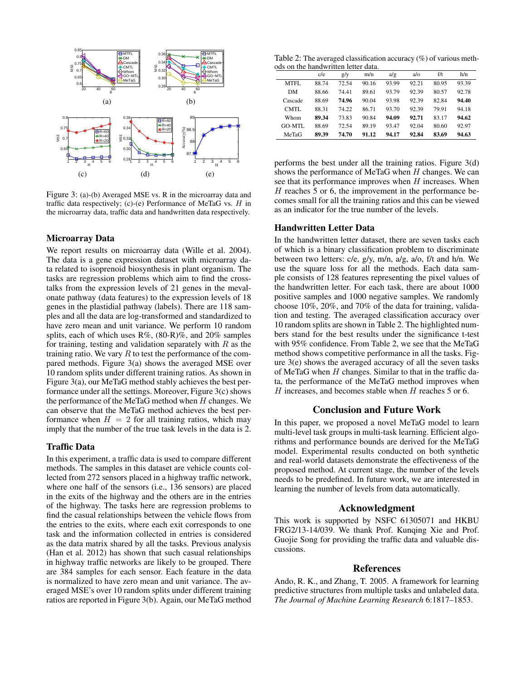

Figure 3: (a)-(b) Averaged MSE vs. R in the microarray data and traffic data respectively; (c)-(e) Performance of MeTaG vs.  $H$  in the microarray data, traffic data and handwritten data respectively.

### Microarray Data

We report results on microarray data (Wille et al. 2004). The data is a gene expression dataset with microarray data related to isoprenoid biosynthesis in plant organism. The tasks are regression problems which aim to find the crosstalks from the expression levels of 21 genes in the mevalonate pathway (data features) to the expression levels of 18 genes in the plastidial pathway (labels). There are 118 samples and all the data are log-transformed and standardized to have zero mean and unit variance. We perform 10 random splits, each of which uses  $R\%$ ,  $(80-R)\%$ , and  $20\%$  samples for training, testing and validation separately with  $R$  as the training ratio. We vary  $R$  to test the performance of the compared methods. Figure 3(a) shows the averaged MSE over 10 random splits under different training ratios. As shown in Figure 3(a), our MeTaG method stably achieves the best performance under all the settings. Moreover, Figure 3(c) shows the performance of the MeTaG method when  $H$  changes. We can observe that the MeTaG method achieves the best performance when  $H = 2$  for all training ratios, which may imply that the number of the true task levels in the data is 2.

#### Traffic Data

In this experiment, a traffic data is used to compare different methods. The samples in this dataset are vehicle counts collected from 272 sensors placed in a highway traffic network, where one half of the sensors (i.e., 136 sensors) are placed in the exits of the highway and the others are in the entries of the highway. The tasks here are regression problems to find the casual relationships between the vehicle flows from the entries to the exits, where each exit corresponds to one task and the information collected in entries is considered as the data matrix shared by all the tasks. Previous analysis (Han et al. 2012) has shown that such casual relationships in highway traffic networks are likely to be grouped. There are 384 samples for each sensor. Each feature in the data is normalized to have zero mean and unit variance. The averaged MSE's over 10 random splits under different training ratios are reported in Figure 3(b). Again, our MeTaG method

Table 2: The averaged classification accuracy  $(\%)$  of various methods on the handwritten letter data.

|         | c/e   | g/y   | m/n   | a/g   | $a/\alpha$ | f/t   | h/n   |
|---------|-------|-------|-------|-------|------------|-------|-------|
| MTFL    | 88.74 | 72.54 | 90.16 | 93.99 | 92.21      | 80.95 | 93.39 |
| DM      | 88.66 | 74.41 | 89.61 | 93.79 | 92.39      | 80.57 | 92.78 |
| Cascade | 88.69 | 74.96 | 90.04 | 93.98 | 92.39      | 82.84 | 94.40 |
| CMTL    | 88.31 | 74.22 | 86.71 | 93.70 | 92.39      | 79.91 | 94.18 |
| Whom    | 89.34 | 73.83 | 90.84 | 94.09 | 92.71      | 83.17 | 94.62 |
| GO-MTL  | 88.69 | 72.54 | 89.19 | 93.47 | 92.04      | 80.60 | 92.97 |
| MeTaG   | 89.39 | 74.70 | 91.12 | 94.17 | 92.84      | 83.69 | 94.63 |

performs the best under all the training ratios. Figure 3(d) shows the performance of MeTaG when  $H$  changes. We can see that its performance improves when  $H$  increases. When  $H$  reaches 5 or 6, the improvement in the performance becomes small for all the training ratios and this can be viewed as an indicator for the true number of the levels.

## Handwritten Letter Data

In the handwritten letter dataset, there are seven tasks each of which is a binary classification problem to discriminate between two letters: c/e, g/y, m/n, a/g, a/o, f/t and h/n. We use the square loss for all the methods. Each data sample consists of 128 features representing the pixel values of the handwritten letter. For each task, there are about 1000 positive samples and 1000 negative samples. We randomly choose 10%, 20%, and 70% of the data for training, validation and testing. The averaged classification accuracy over 10 random splits are shown in Table 2. The highlighted numbers stand for the best results under the significance t-test with 95% confidence. From Table 2, we see that the MeTaG method shows competitive performance in all the tasks. Figure 3(e) shows the averaged accuracy of all the seven tasks of MeTaG when  $H$  changes. Similar to that in the traffic data, the performance of the MeTaG method improves when H increases, and becomes stable when H reaches 5 or 6.

## Conclusion and Future Work

In this paper, we proposed a novel MeTaG model to learn multi-level task groups in multi-task learning. Efficient algorithms and performance bounds are derived for the MeTaG model. Experimental results conducted on both synthetic and real-world datasets demonstrate the effectiveness of the proposed method. At current stage, the number of the levels needs to be predefined. In future work, we are interested in learning the number of levels from data automatically.

## Acknowledgment

This work is supported by NSFC 61305071 and HKBU FRG2/13-14/039. We thank Prof. Kunqing Xie and Prof. Guojie Song for providing the traffic data and valuable discussions.

#### References

Ando, R. K., and Zhang, T. 2005. A framework for learning predictive structures from multiple tasks and unlabeled data. *The Journal of Machine Learning Research* 6:1817–1853.